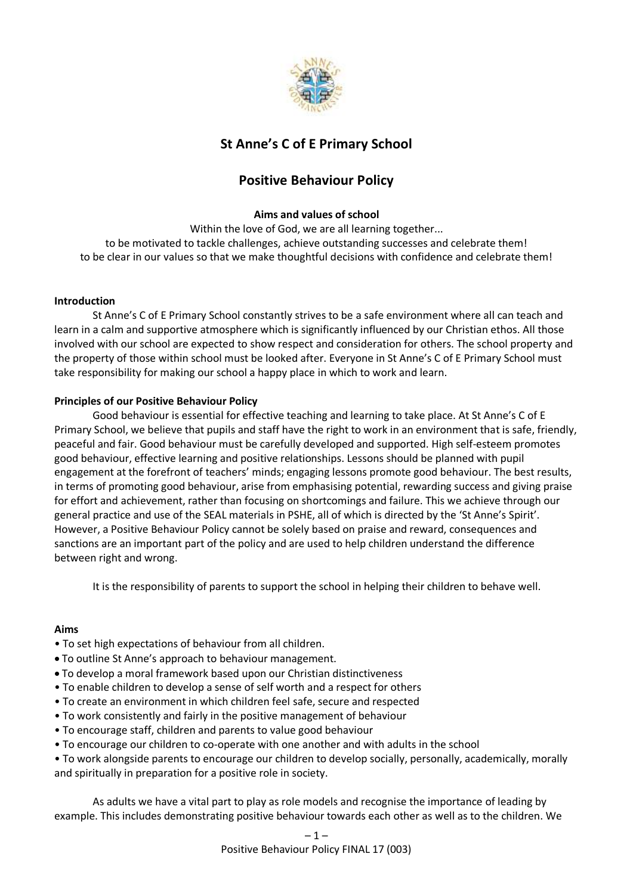

# **St Anne's C of E Primary School**

# **Positive Behaviour Policy**

# **Aims and values of school**

Within the love of God, we are all learning together... to be motivated to tackle challenges, achieve outstanding successes and celebrate them! to be clear in our values so that we make thoughtful decisions with confidence and celebrate them!

## **Introduction**

St Anne's C of E Primary School constantly strives to be a safe environment where all can teach and learn in a calm and supportive atmosphere which is significantly influenced by our Christian ethos. All those involved with our school are expected to show respect and consideration for others. The school property and the property of those within school must be looked after. Everyone in St Anne's C of E Primary School must take responsibility for making our school a happy place in which to work and learn.

# **Principles of our Positive Behaviour Policy**

Good behaviour is essential for effective teaching and learning to take place. At St Anne's C of E Primary School, we believe that pupils and staff have the right to work in an environment that is safe, friendly, peaceful and fair. Good behaviour must be carefully developed and supported. High self-esteem promotes good behaviour, effective learning and positive relationships. Lessons should be planned with pupil engagement at the forefront of teachers' minds; engaging lessons promote good behaviour. The best results, in terms of promoting good behaviour, arise from emphasising potential, rewarding success and giving praise for effort and achievement, rather than focusing on shortcomings and failure. This we achieve through our general practice and use of the SEAL materials in PSHE, all of which is directed by the 'St Anne's Spirit'. However, a Positive Behaviour Policy cannot be solely based on praise and reward, consequences and sanctions are an important part of the policy and are used to help children understand the difference between right and wrong.

It is the responsibility of parents to support the school in helping their children to behave well.

#### **Aims**

- To set high expectations of behaviour from all children.
- To outline St Anne's approach to behaviour management.
- To develop a moral framework based upon our Christian distinctiveness
- To enable children to develop a sense of self worth and a respect for others
- To create an environment in which children feel safe, secure and respected
- To work consistently and fairly in the positive management of behaviour
- To encourage staff, children and parents to value good behaviour
- To encourage our children to co-operate with one another and with adults in the school
- To work alongside parents to encourage our children to develop socially, personally, academically, morally and spiritually in preparation for a positive role in society.

As adults we have a vital part to play as role models and recognise the importance of leading by example. This includes demonstrating positive behaviour towards each other as well as to the children. We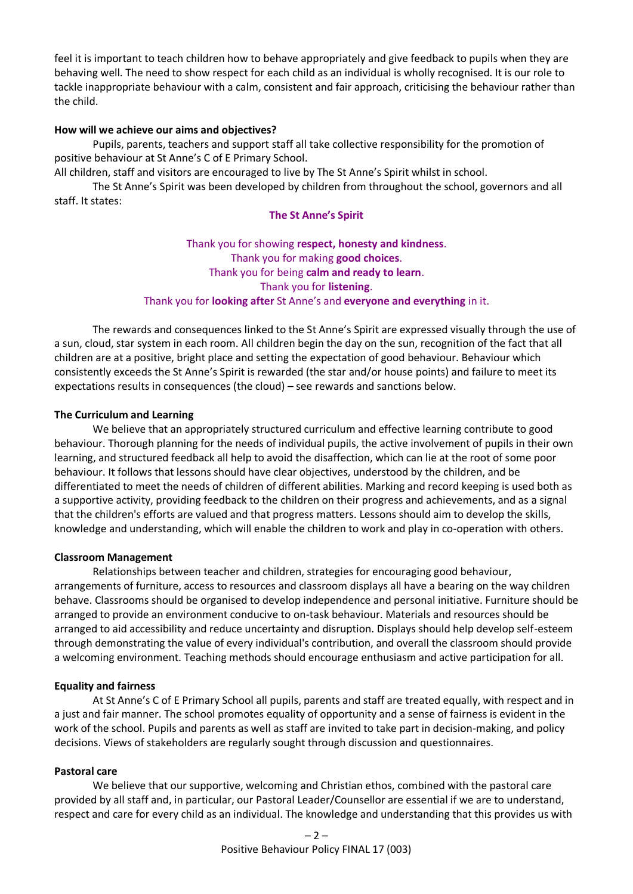feel it is important to teach children how to behave appropriately and give feedback to pupils when they are behaving well. The need to show respect for each child as an individual is wholly recognised. It is our role to tackle inappropriate behaviour with a calm, consistent and fair approach, criticising the behaviour rather than the child.

#### **How will we achieve our aims and objectives?**

Pupils, parents, teachers and support staff all take collective responsibility for the promotion of positive behaviour at St Anne's C of E Primary School.

All children, staff and visitors are encouraged to live by The St Anne's Spirit whilst in school.

The St Anne's Spirit was been developed by children from throughout the school, governors and all staff. It states:

#### **The St Anne's Spirit**

Thank you for showing **respect, honesty and kindness**. Thank you for making **good choices**. Thank you for being **calm and ready to learn**. Thank you for **listening**. Thank you for **looking after** St Anne's and **everyone and everything** in it.

The rewards and consequences linked to the St Anne's Spirit are expressed visually through the use of a sun, cloud, star system in each room. All children begin the day on the sun, recognition of the fact that all children are at a positive, bright place and setting the expectation of good behaviour. Behaviour which consistently exceeds the St Anne's Spirit is rewarded (the star and/or house points) and failure to meet its expectations results in consequences (the cloud) – see rewards and sanctions below.

#### **The Curriculum and Learning**

We believe that an appropriately structured curriculum and effective learning contribute to good behaviour. Thorough planning for the needs of individual pupils, the active involvement of pupils in their own learning, and structured feedback all help to avoid the disaffection, which can lie at the root of some poor behaviour. It follows that lessons should have clear objectives, understood by the children, and be differentiated to meet the needs of children of different abilities. Marking and record keeping is used both as a supportive activity, providing feedback to the children on their progress and achievements, and as a signal that the children's efforts are valued and that progress matters. Lessons should aim to develop the skills, knowledge and understanding, which will enable the children to work and play in co-operation with others.

#### **Classroom Management**

Relationships between teacher and children, strategies for encouraging good behaviour, arrangements of furniture, access to resources and classroom displays all have a bearing on the way children behave. Classrooms should be organised to develop independence and personal initiative. Furniture should be arranged to provide an environment conducive to on-task behaviour. Materials and resources should be arranged to aid accessibility and reduce uncertainty and disruption. Displays should help develop self-esteem through demonstrating the value of every individual's contribution, and overall the classroom should provide a welcoming environment. Teaching methods should encourage enthusiasm and active participation for all.

#### **Equality and fairness**

At St Anne's C of E Primary School all pupils, parents and staff are treated equally, with respect and in a just and fair manner. The school promotes equality of opportunity and a sense of fairness is evident in the work of the school. Pupils and parents as well as staff are invited to take part in decision-making, and policy decisions. Views of stakeholders are regularly sought through discussion and questionnaires.

#### **Pastoral care**

We believe that our supportive, welcoming and Christian ethos, combined with the pastoral care provided by all staff and, in particular, our Pastoral Leader/Counsellor are essential if we are to understand, respect and care for every child as an individual. The knowledge and understanding that this provides us with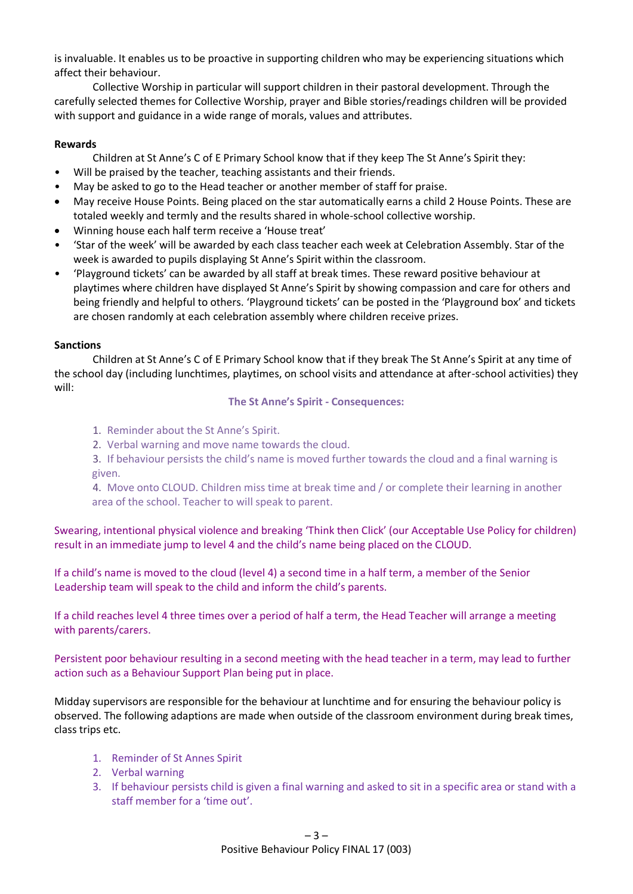is invaluable. It enables us to be proactive in supporting children who may be experiencing situations which affect their behaviour.

Collective Worship in particular will support children in their pastoral development. Through the carefully selected themes for Collective Worship, prayer and Bible stories/readings children will be provided with support and guidance in a wide range of morals, values and attributes.

#### **Rewards**

Children at St Anne's C of E Primary School know that if they keep The St Anne's Spirit they:

- Will be praised by the teacher, teaching assistants and their friends.
- May be asked to go to the Head teacher or another member of staff for praise.
- May receive House Points. Being placed on the star automatically earns a child 2 House Points. These are totaled weekly and termly and the results shared in whole-school collective worship.
- Winning house each half term receive a 'House treat'
- 'Star of the week' will be awarded by each class teacher each week at Celebration Assembly. Star of the week is awarded to pupils displaying St Anne's Spirit within the classroom.
- 'Playground tickets' can be awarded by all staff at break times. These reward positive behaviour at playtimes where children have displayed St Anne's Spirit by showing compassion and care for others and being friendly and helpful to others. 'Playground tickets' can be posted in the 'Playground box' and tickets are chosen randomly at each celebration assembly where children receive prizes.

#### **Sanctions**

Children at St Anne's C of E Primary School know that if they break The St Anne's Spirit at any time of the school day (including lunchtimes, playtimes, on school visits and attendance at after-school activities) they will:

#### **The St Anne's Spirit - Consequences:**

- 1. Reminder about the St Anne's Spirit.
- 2. Verbal warning and move name towards the cloud.
- 3. If behaviour persists the child's name is moved further towards the cloud and a final warning is given.

4. Move onto CLOUD. Children miss time at break time and / or complete their learning in another area of the school. Teacher to will speak to parent.

Swearing, intentional physical violence and breaking 'Think then Click' (our Acceptable Use Policy for children) result in an immediate jump to level 4 and the child's name being placed on the CLOUD.

If a child's name is moved to the cloud (level 4) a second time in a half term, a member of the Senior Leadership team will speak to the child and inform the child's parents.

If a child reaches level 4 three times over a period of half a term, the Head Teacher will arrange a meeting with parents/carers.

Persistent poor behaviour resulting in a second meeting with the head teacher in a term, may lead to further action such as a Behaviour Support Plan being put in place.

Midday supervisors are responsible for the behaviour at lunchtime and for ensuring the behaviour policy is observed. The following adaptions are made when outside of the classroom environment during break times, class trips etc.

- 1. Reminder of St Annes Spirit
- 2. Verbal warning
- 3. If behaviour persists child is given a final warning and asked to sit in a specific area or stand with a staff member for a 'time out'.